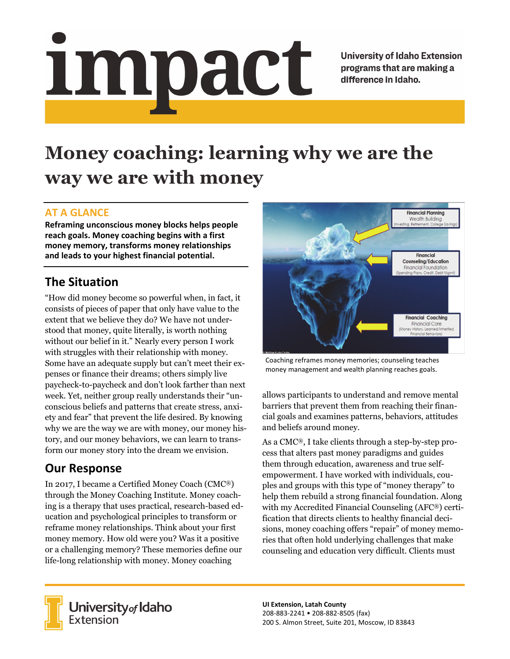# <u>impact</u>

**University of Idaho Extension** programs that are making a difference in Idaho.

# **Money coaching: learning why we are the way we are with money**

### **AT A GLANCE**

**Reframing unconscious money blocks helps people reach goals. Money coaching begins with a first money memory, transforms money relationships and leads to your highest financial potential.** 

## **The Situation**

"How did money become so powerful when, in fact, it consists of pieces of paper that only have value to the extent that we believe they do? We have not understood that money, quite literally, is worth nothing without our belief in it." Nearly every person I work with struggles with their relationship with money. Some have an adequate supply but can't meet their expenses or finance their dreams; others simply live paycheck-to-paycheck and don't look farther than next week. Yet, neither group really understands their "unconscious beliefs and patterns that create stress, anxiety and fear" that prevent the life desired. By knowing why we are the way we are with money, our money history, and our money behaviors, we can learn to transform our money story into the dream we envision.

### **Our Response**

In 2017, I became a Certified Money Coach (CMC®) through the Money Coaching Institute. Money coaching is a therapy that uses practical, research-based education and psychological principles to transform or reframe money relationships. Think about your first money memory. How old were you? Was it a positive or a challenging memory? These memories define our life-long relationship with money. Money coaching



Coaching reframes money memories; counseling teaches money management and wealth planning reaches goals.

allows participants to understand and remove mental barriers that prevent them from reaching their financial goals and examines patterns, behaviors, attitudes and beliefs around money.

As a CMC®, I take clients through a step-by-step process that alters past money paradigms and guides them through education, awareness and true selfempowerment. I have worked with individuals, couples and groups with this type of "money therapy" to help them rebuild a strong financial foundation. Along with my Accredited Financial Counseling (AFC®) certification that directs clients to healthy financial decisions, money coaching offers "repair" of money memories that often hold underlying challenges that make counseling and education very difficult. Clients must



**University** of Idaho<br>Extension

**UI Extension, Latah County**  208‐883‐2241 • 208‐882‐8505 (fax) 200 S. Almon Street, Suite 201, Moscow, ID 83843